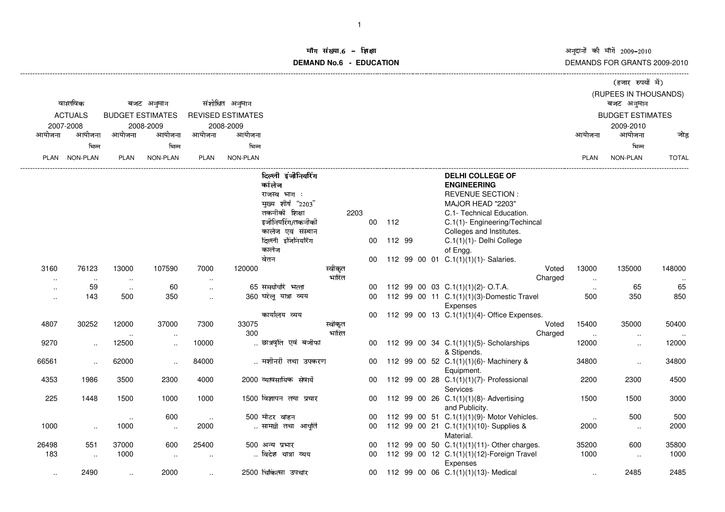अनुदानों की माँगें 2009–2010<br>DEMANDS FOR GRANTS 2009-2010

## iंग संख्या.6 -<br>WDNa.c **DEMAND No.6 - EDUCATIONराक्षा संस्कृतिका संस्कृतिका संस्कृतिका संस्कृतिका संस्कृतिका संस्कृतिका संस्कृतिका संस्कृतिका संस्कृतिका संस्**

|                      |                 |                      |                         |                      |                          |                          |         |        |        |  |                                             |         |             | (हजार रुपयों में)       |              |
|----------------------|-----------------|----------------------|-------------------------|----------------------|--------------------------|--------------------------|---------|--------|--------|--|---------------------------------------------|---------|-------------|-------------------------|--------------|
|                      |                 |                      |                         |                      |                          |                          |         |        |        |  |                                             |         |             | (RUPEES IN THOUSANDS)   |              |
|                      | वास्तविक        |                      | बजट अनुमान              |                      | संशोधित अनुमान           |                          |         |        |        |  |                                             |         |             | बजट अनुमान              |              |
|                      | <b>ACTUALS</b>  |                      | <b>BUDGET ESTIMATES</b> |                      | <b>REVISED ESTIMATES</b> |                          |         |        |        |  |                                             |         |             | <b>BUDGET ESTIMATES</b> |              |
| 2007-2008            |                 |                      | 2008-2009               |                      | 2008-2009                |                          |         |        |        |  |                                             |         |             | 2009-2010               |              |
| आयोजना               | आयोजना          | आयोजना               | आयोजना                  | आयोजना               | आयोजना                   |                          |         |        |        |  |                                             |         | आयोजना      | आयोजना                  | जोड़         |
|                      | भिन्न           |                      | भिन्न                   |                      | भिन्न                    |                          |         |        |        |  |                                             |         |             | भिन्न                   |              |
| <b>PLAN</b>          | <b>NON-PLAN</b> | <b>PLAN</b>          | <b>NON-PLAN</b>         | <b>PLAN</b>          | NON-PLAN                 |                          |         |        |        |  |                                             |         | <b>PLAN</b> | NON-PLAN                | <b>TOTAL</b> |
|                      |                 |                      |                         |                      |                          |                          |         |        |        |  |                                             |         |             |                         |              |
|                      |                 |                      |                         |                      |                          | दिल्ली इंजीनियरिंग       |         |        |        |  | <b>DELHI COLLEGE OF</b>                     |         |             |                         |              |
|                      |                 |                      |                         |                      |                          | कॉलेज                    |         |        |        |  | <b>ENGINEERING</b>                          |         |             |                         |              |
|                      |                 |                      |                         |                      |                          | राजस्व भाग:              |         |        |        |  | <b>REVENUE SECTION:</b>                     |         |             |                         |              |
|                      |                 |                      |                         |                      |                          | मुख्य शीर्ष "2203"       |         |        |        |  | MAJOR HEAD "2203"                           |         |             |                         |              |
|                      |                 |                      |                         |                      |                          | तकनीकी शिक्षा            | 2203    |        |        |  | C.1- Technical Education.                   |         |             |                         |              |
|                      |                 |                      |                         |                      |                          | इजीनियरिंग/तकनीकी        |         | $00\,$ | 112    |  | C.1(1)- Engineering/Techincal               |         |             |                         |              |
|                      |                 |                      |                         |                      |                          | कालेज एवं संस्थान        |         |        |        |  | Colleges and Institutes.                    |         |             |                         |              |
|                      |                 |                      |                         |                      |                          | दिल्ली इंजिनियरिंग       |         | 00     | 112 99 |  | C.1(1)(1)- Delhi College                    |         |             |                         |              |
|                      |                 |                      |                         |                      |                          | कालेज                    |         |        |        |  | of Engg.                                    |         |             |                         |              |
|                      |                 |                      |                         |                      |                          | वेतन                     |         | 00     |        |  | 112 99 00 01 C.1(1)(1)(1)- Salaries.        |         |             |                         |              |
| 3160                 | 76123           | 13000                | 107590                  | 7000                 | 120000                   |                          | स्वीकृत |        |        |  |                                             | Voted   | 13000       | 135000                  | 148000       |
| $\sim$               | $\sim$          | $\cdots$             |                         | $\sim$               |                          |                          | भारित   |        |        |  |                                             | Charged | $\sim$      |                         |              |
| $\cdot$ .            | 59              | $\sim$               | 60                      | $\mathbf{r}$ .       |                          | 65 समयोपरि भत्ता         |         | 00     |        |  | 112 99 00 03 C.1(1)(1)(2)-O.T.A.            |         | $\sim$      | 65                      | 65           |
| $\cdot$ .            | 143             | 500                  | 350                     | $\ddot{\phantom{a}}$ |                          | 360 घरेलू यात्रा व्यय    |         | 00     |        |  | 112 99 00 11 C.1(1)(1)(3)-Domestic Travel   |         | 500         | 350                     | 850          |
|                      |                 |                      |                         |                      |                          |                          |         |        |        |  | Expenses                                    |         |             |                         |              |
|                      |                 |                      |                         |                      |                          | कार्यालय व्यय            |         | 00     |        |  | 112 99 00 13 C.1(1)(1)(4)- Office Expenses. |         |             |                         |              |
| 4807                 | 30252           | 12000                | 37000                   | 7300                 | 33075                    |                          | स्वीकृत |        |        |  |                                             | Voted   | 15400       | 35000                   | 50400        |
|                      |                 | $\ddotsc$            | $\cdots$                |                      | 300                      |                          | भारित   |        |        |  |                                             | Charged | $\ldots$    | $\ldots$                |              |
| 9270                 | $\ddotsc$       | 12500                | $\ddotsc$               | 10000                |                          | छात्रवृति एवं बजीफा      |         | 00     |        |  | 112 99 00 34 C.1(1)(1)(5)- Scholarships     |         | 12000       | $\ldots$                | 12000        |
|                      |                 |                      |                         |                      |                          |                          |         |        |        |  | & Stipends.                                 |         |             |                         |              |
| 66561                | $\ddotsc$       | 62000                | Ω.                      | 84000                |                          | मशीनरी तथा उपकरण         |         | 00     |        |  | 112 99 00 52 C.1(1)(1)(6)- Machinery &      |         | 34800       | $\ldots$                | 34800        |
|                      |                 |                      |                         |                      |                          |                          |         |        |        |  | Equipment.                                  |         |             |                         |              |
| 4353                 | 1986            | 3500                 | 2300                    | 4000                 |                          | 2000 व्यावसायिक सेवायें  |         | 00     |        |  | 112 99 00 28 C.1(1)(1)(7)- Professional     |         | 2200        | 2300                    | 4500         |
|                      |                 |                      |                         |                      |                          |                          |         |        |        |  | <b>Services</b>                             |         |             |                         |              |
| 225                  | 1448            | 1500                 | 1000                    | 1000                 |                          | 1500 विज्ञापन तथा प्रचार |         | 00     |        |  | 112 99 00 26 C.1(1)(1)(8)- Advertising      |         | 1500        | 1500                    | 3000         |
|                      |                 |                      |                         |                      |                          |                          |         |        |        |  | and Publicity.                              |         |             |                         |              |
|                      |                 | $\ddotsc$            | 600                     | $\ddotsc$            |                          | 500 मोटर वाहन            |         | 00     |        |  | 112 99 00 51 C.1(1)(1)(9)- Motor Vehicles.  |         | $\sim$      | 500                     | 500          |
| 1000                 | $\cdot$ .       | 1000                 | $\ddotsc$               | 2000                 |                          | सामग्री तथा आपूर्ति      |         | 00     |        |  | 112 99 00 21 C.1(1)(1)(10)- Supplies &      |         | 2000        | $\sim$                  | 2000         |
|                      |                 |                      |                         |                      |                          |                          |         |        |        |  | Material.                                   |         |             |                         |              |
| 26498                | 551             | 37000                | 600                     | 25400                |                          | 500 अन्य प्रभार          |         | 00     |        |  | 112 99 00 50 C.1(1)(1)(11)- Other charges.  |         | 35200       | 600                     | 35800        |
| 183                  | $\ddotsc$       | 1000                 | $\ddotsc$               | $\cdot$ .            |                          | विदेश यात्रा व्यय        |         | 00     |        |  | 112 99 00 12 C.1(1)(1)(12)-Foreign Travel   |         | 1000        | $\sim$                  | 1000         |
|                      |                 |                      |                         |                      |                          |                          |         |        |        |  | Expenses                                    |         |             |                         |              |
| $\ddot{\phantom{a}}$ | 2490            | $\ddot{\phantom{a}}$ | 2000                    | $\ddotsc$            |                          | 2500 चिकित्सा उपचार      |         | 00     |        |  | 112 99 00 06 C.1(1)(1)(13)- Medical         |         | $\cdot$ .   | 2485                    | 2485         |

-------------------------------------------------------------------------------------------------------------------------------------------------------------------------------------------------------------------------------------------------------------------------------------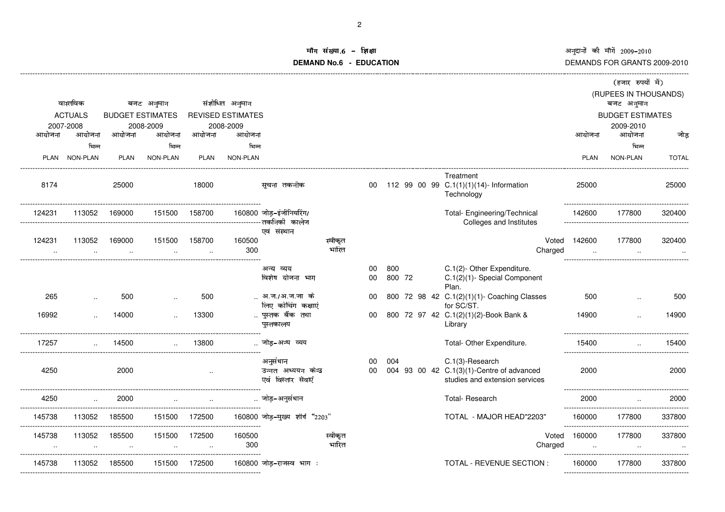अनुदानों की माँगें 2009–2010<br>DEMANDS FOR GRANTS 2009-2010

## ाँग संख्या.6 –<br>^\*\*\*\*\*\* **DEMAND No.6 - EDUCATIONराक्षा संस्कृतिका संस्कृतिका संस्कृतिका संस्कृतिका संस्कृतिका संस्कृतिका संस्कृतिका संस्कृतिका संस्कृतिका संस्**

|        |                             |                         |                     |             |                          |                                                       |                  |          |     |        |                                                                                                |                  |             | (हजार रुपयों में)                    |              |
|--------|-----------------------------|-------------------------|---------------------|-------------|--------------------------|-------------------------------------------------------|------------------|----------|-----|--------|------------------------------------------------------------------------------------------------|------------------|-------------|--------------------------------------|--------------|
|        |                             |                         |                     |             |                          |                                                       |                  |          |     |        |                                                                                                |                  |             | (RUPEES IN THOUSANDS)                |              |
|        | वास्तविक                    |                         | बजट अनुमान          |             | संशोधित अनुमान           |                                                       |                  |          |     |        |                                                                                                |                  |             | बजट अनुमान                           |              |
|        | <b>ACTUALS</b><br>2007-2008 | <b>BUDGET ESTIMATES</b> |                     |             | <b>REVISED ESTIMATES</b> |                                                       |                  |          |     |        |                                                                                                |                  |             | <b>BUDGET ESTIMATES</b><br>2009-2010 |              |
| आयोजना | आयोजना                      | आयोजना                  | 2008-2009<br>आयोजना | आयोजना      | 2008-2009<br>आयोजना      |                                                       |                  |          |     |        |                                                                                                |                  | आयोजना      | आयोजना                               | जोड          |
|        | भिन्न                       |                         | भिन्न               |             | भिन्न                    |                                                       |                  |          |     |        |                                                                                                |                  |             | भिन्न                                |              |
|        | PLAN NON-PLAN               | <b>PLAN</b>             | NON-PLAN            | <b>PLAN</b> | NON-PLAN                 |                                                       |                  |          |     |        |                                                                                                |                  | <b>PLAN</b> | NON-PLAN                             | <b>TOTAL</b> |
| 8174   |                             | 25000                   |                     | 18000       |                          | सूचना तकनीक                                           |                  |          |     |        | Treatment<br>00 112 99 00 99 C.1(1)(1)(14)- Information<br>Technology                          |                  | 25000       |                                      | 25000        |
| 124231 | 113052                      | 169000                  | 151500              | 158700      |                          | 160800 जोड़–इंजीनियरिंग/                              |                  |          |     |        | Total- Engineering/Technical<br>Colleges and Institutes                                        |                  | 142600      | 177800                               | 320400       |
| 124231 | 113052                      | 169000                  | 151500              | 158700      | 160500<br>300            | एवं संस्थान                                           | स्वीकृत<br>भारित |          |     |        |                                                                                                | Voted<br>Charged | 142600      | 177800                               | 320400       |
|        |                             |                         |                     |             |                          | अन्य व्यय<br>विशेष योजना भाग                          |                  | 00<br>00 | 800 | 800 72 | C.1(2)- Other Expenditure.<br>C.1(2)(1)- Special Component<br>Plan.                            |                  |             |                                      |              |
| 265    |                             | 500                     |                     | 500         |                          | अ.ज./अ.ज.जा के<br>लिए कोचिंग कक्षाएं                  |                  | 00       |     |        | 800 72 98 42 C.1(2)(1)(1)- Coaching Classes<br>for SC/ST.                                      |                  | 500         |                                      | 500          |
| 16992  |                             | 14000                   |                     | 13300       |                          | पुस्तक बैंक तथा<br>पुस्तकालय                          |                  | 00       |     |        | 800 72 97 42 C.1(2)(1)(2)-Book Bank &<br>Library                                               |                  | 14900       |                                      | 14900        |
| 17257  |                             | 14500                   |                     | 13800       |                          | जोड-अन्य व्यय                                         |                  |          |     |        | Total- Other Expenditure.                                                                      |                  | 15400       |                                      | 15400        |
| 4250   |                             | 2000                    |                     |             |                          | अनसंधान<br>उन्नत अध्ययन केन्द्र<br>एवं विस्तार सेवाएं |                  | 00<br>00 | 004 |        | C.1(3)-Research<br>004 93 00 42 C.1(3)(1)-Centre of advanced<br>studies and extension services |                  | 2000        |                                      | 2000         |
| 4250   |                             | 2000                    |                     |             |                          | जोड–अनसंधान                                           |                  |          |     |        | Total- Research                                                                                |                  | 2000        |                                      | 2000         |
| 145738 | 113052                      | 185500                  | 151500              | 172500      |                          | 160800 जोड़-मुख्य शीर्ष "2203"                        |                  |          |     |        | TOTAL - MAJOR HEAD"2203"                                                                       |                  | 160000      | 177800                               | 337800       |
| 145738 | 113052                      | 185500                  | 151500              | 172500      | 160500<br>300            |                                                       | स्वीकृत<br>भारित |          |     |        |                                                                                                | Voted<br>Charged | 160000      | 177800                               | 337800       |
| 145738 | 113052                      | 185500                  | 151500              | 172500      |                          | 160800 जोड–राजस्व भाग:                                |                  |          |     |        | TOTAL - REVENUE SECTION :                                                                      |                  | 160000      | 177800                               | 337800       |

-------------------------------------------------------------------------------------------------------------------------------------------------------------------------------------------------------------------------------------------------------------------------------------